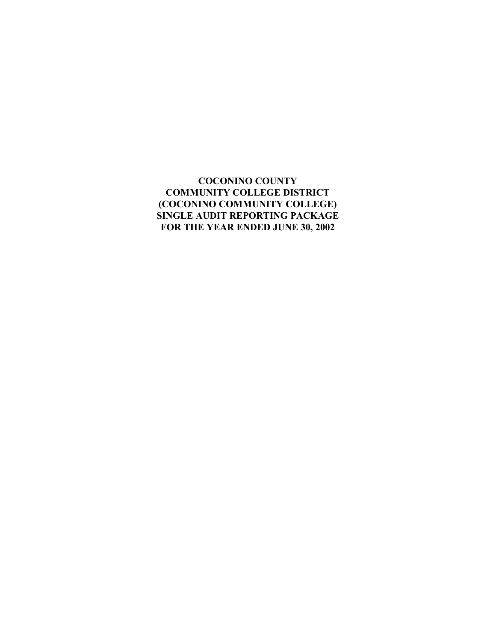# **COCONINO COUNTY COMMUNITY COLLEGE DISTRICT (COCONINO COMMUNITY COLLEGE) SINGLE AUDIT REPORTING PACKAGE FOR THE YEAR ENDED JUNE 30, 2002**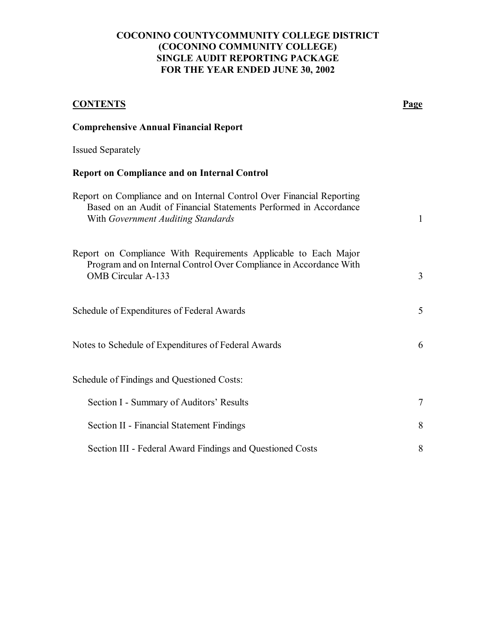# **COCONINO COUNTYCOMMUNITY COLLEGE DISTRICT (COCONINO COMMUNITY COLLEGE) SINGLE AUDIT REPORTING PACKAGE FOR THE YEAR ENDED JUNE 30, 2002**

| <b>CONTENTS</b>                                                                                                                                                                  | <b>Page</b>  |
|----------------------------------------------------------------------------------------------------------------------------------------------------------------------------------|--------------|
| <b>Comprehensive Annual Financial Report</b>                                                                                                                                     |              |
| <b>Issued Separately</b>                                                                                                                                                         |              |
| <b>Report on Compliance and on Internal Control</b>                                                                                                                              |              |
| Report on Compliance and on Internal Control Over Financial Reporting<br>Based on an Audit of Financial Statements Performed in Accordance<br>With Government Auditing Standards | $\mathbf{1}$ |
| Report on Compliance With Requirements Applicable to Each Major<br>Program and on Internal Control Over Compliance in Accordance With<br><b>OMB</b> Circular A-133               | 3            |
| Schedule of Expenditures of Federal Awards                                                                                                                                       | 5            |
| Notes to Schedule of Expenditures of Federal Awards                                                                                                                              | 6            |
| Schedule of Findings and Questioned Costs:                                                                                                                                       |              |
| Section I - Summary of Auditors' Results                                                                                                                                         | $\tau$       |
| <b>Section II - Financial Statement Findings</b>                                                                                                                                 | 8            |
| Section III - Federal Award Findings and Questioned Costs                                                                                                                        | 8            |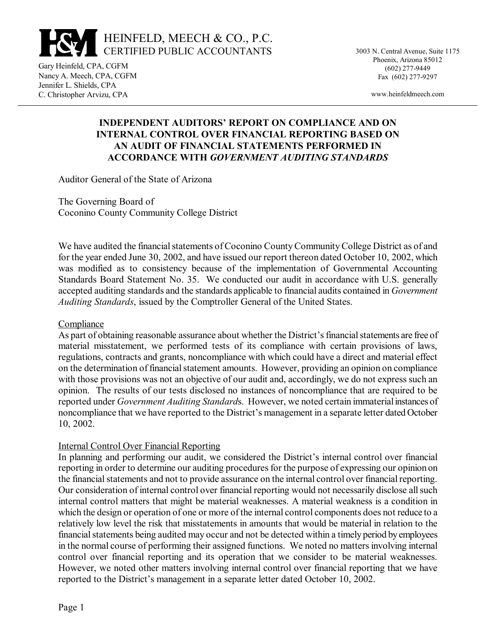

3003 N. Central Avenue, Suite 1175 Phoenix, Arizona 85012 (602) 277-9449 Fax (602) 277-9297

www.heinfeldmeech.com

#### Gary Heinfeld, CPA, CGFM Nancy A. Meech, CPA, CGFM Jennifer L. Shields, CPA C. Christopher Arvizu, CPA

## **INDEPENDENT AUDITORS' REPORT ON COMPLIANCE AND ON INTERNAL CONTROL OVER FINANCIAL REPORTING BASED ON AN AUDIT OF FINANCIAL STATEMENTS PERFORMED IN ACCORDANCE WITH** *GOVERNMENT AUDITING STANDARDS*

Auditor General of the State of Arizona

The Governing Board of Coconino County Community College District

We have audited the financial statements of Coconino County Community College District as of and for the year ended June 30, 2002, and have issued our report thereon dated October 10, 2002, which was modified as to consistency because of the implementation of Governmental Accounting Standards Board Statement No. 35. We conducted our audit in accordance with U.S. generally accepted auditing standards and the standards applicable to financial audits contained in *Government Auditing Standards*, issued by the Comptroller General of the United States.

## **Compliance**

As part of obtaining reasonable assurance about whether the District's financial statements are free of material misstatement, we performed tests of its compliance with certain provisions of laws, regulations, contracts and grants, noncompliance with which could have a direct and material effect on the determination of financial statement amounts. However, providing an opinion on compliance with those provisions was not an objective of our audit and, accordingly, we do not express such an opinion. The results of our tests disclosed no instances of noncompliance that are required to be reported under *Government Auditing Standard*s. However, we noted certain immaterial instances of noncompliance that we have reported to the District's management in a separate letter dated October 10, 2002.

## Internal Control Over Financial Reporting

In planning and performing our audit, we considered the District's internal control over financial reporting in order to determine our auditing procedures for the purpose of expressing our opinion on the financial statements and not to provide assurance on the internal control over financial reporting. Our consideration of internal control over financial reporting would not necessarily disclose all such internal control matters that might be material weaknesses. A material weakness is a condition in which the design or operation of one or more of the internal control components does not reduce to a relatively low level the risk that misstatements in amounts that would be material in relation to the financial statements being audited may occur and not be detected within a timely period by employees in the normal course of performing their assigned functions. We noted no matters involving internal control over financial reporting and its operation that we consider to be material weaknesses. However, we noted other matters involving internal control over financial reporting that we have reported to the District's management in a separate letter dated October 10, 2002.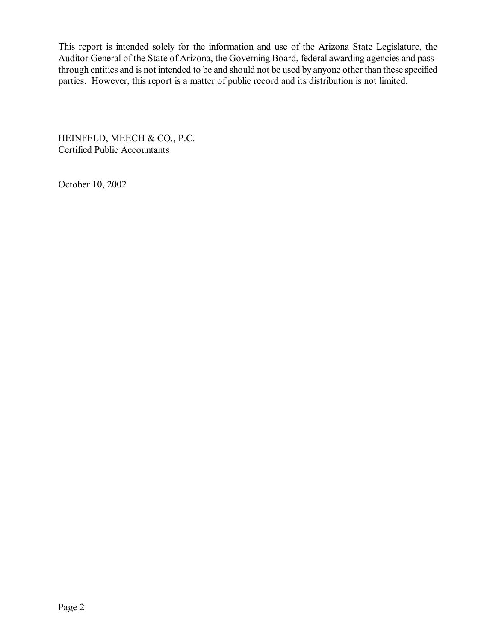This report is intended solely for the information and use of the Arizona State Legislature, the Auditor General of the State of Arizona, the Governing Board, federal awarding agencies and passthrough entities and is not intended to be and should not be used by anyone other than these specified parties. However, this report is a matter of public record and its distribution is not limited.

HEINFELD, MEECH & CO., P.C. Certified Public Accountants

October 10, 2002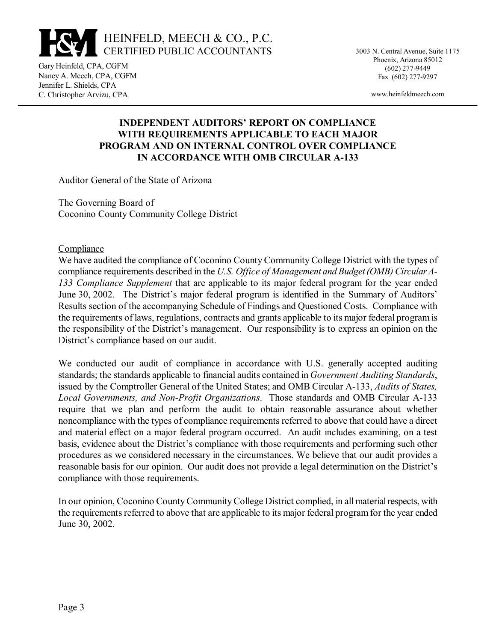

3003 N. Central Avenue, Suite 1175 Phoenix, Arizona 85012 (602) 277-9449 Fax (602) 277-9297

www.heinfeldmeech.com

#### Gary Heinfeld, CPA, CGFM Nancy A. Meech, CPA, CGFM Jennifer L. Shields, CPA C. Christopher Arvizu, CPA

# **INDEPENDENT AUDITORS' REPORT ON COMPLIANCE WITH REQUIREMENTS APPLICABLE TO EACH MAJOR PROGRAM AND ON INTERNAL CONTROL OVER COMPLIANCE IN ACCORDANCE WITH OMB CIRCULAR A-133**

Auditor General of the State of Arizona

The Governing Board of Coconino County Community College District

### Compliance

We have audited the compliance of Coconino County Community College District with the types of compliance requirements described in the *U.S. Office of Management and Budget (OMB) Circular A-133 Compliance Supplement* that are applicable to its major federal program for the year ended June 30, 2002. The District's major federal program is identified in the Summary of Auditors' Results section of the accompanying Schedule of Findings and Questioned Costs. Compliance with the requirements of laws, regulations, contracts and grants applicable to its major federal program is the responsibility of the District's management. Our responsibility is to express an opinion on the District's compliance based on our audit.

We conducted our audit of compliance in accordance with U.S. generally accepted auditing standards; the standards applicable to financial audits contained in *Government Auditing Standards*, issued by the Comptroller General of the United States; and OMB Circular A-133, *Audits of States, Local Governments, and Non-Profit Organizations*. Those standards and OMB Circular A-133 require that we plan and perform the audit to obtain reasonable assurance about whether noncompliance with the types of compliance requirements referred to above that could have a direct and material effect on a major federal program occurred. An audit includes examining, on a test basis, evidence about the District's compliance with those requirements and performing such other procedures as we considered necessary in the circumstances. We believe that our audit provides a reasonable basis for our opinion. Our audit does not provide a legal determination on the District's compliance with those requirements.

In our opinion, Coconino County Community College District complied, in all material respects, with the requirements referred to above that are applicable to its major federal program for the year ended June 30, 2002.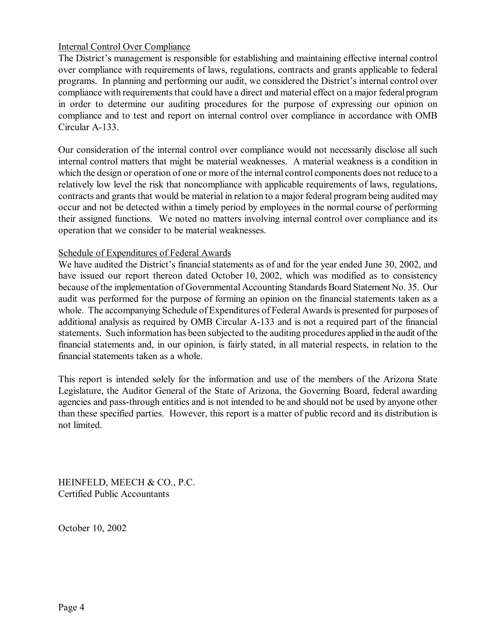## Internal Control Over Compliance

The District's management is responsible for establishing and maintaining effective internal control over compliance with requirements of laws, regulations, contracts and grants applicable to federal programs. In planning and performing our audit, we considered the District's internal control over compliance with requirements that could have a direct and material effect on a major federal program in order to determine our auditing procedures for the purpose of expressing our opinion on compliance and to test and report on internal control over compliance in accordance with OMB Circular A-133.

Our consideration of the internal control over compliance would not necessarily disclose all such internal control matters that might be material weaknesses. A material weakness is a condition in which the design or operation of one or more of the internal control components does not reduce to a relatively low level the risk that noncompliance with applicable requirements of laws, regulations, contracts and grants that would be material in relation to a major federal program being audited may occur and not be detected within a timely period by employees in the normal course of performing their assigned functions. We noted no matters involving internal control over compliance and its operation that we consider to be material weaknesses.

## Schedule of Expenditures of Federal Awards

We have audited the District's financial statements as of and for the year ended June 30, 2002, and have issued our report thereon dated October 10, 2002, which was modified as to consistency because of the implementation of Governmental Accounting Standards Board Statement No. 35. Our audit was performed for the purpose of forming an opinion on the financial statements taken as a whole. The accompanying Schedule of Expenditures of Federal Awards is presented for purposes of additional analysis as required by OMB Circular A-133 and is not a required part of the financial statements. Such information has been subjected to the auditing procedures applied in the audit of the financial statements and, in our opinion, is fairly stated, in all material respects, in relation to the financial statements taken as a whole.

This report is intended solely for the information and use of the members of the Arizona State Legislature, the Auditor General of the State of Arizona, the Governing Board, federal awarding agencies and pass-through entities and is not intended to be and should not be used by anyone other than these specified parties. However, this report is a matter of public record and its distribution is not limited.

HEINFELD, MEECH & CO., P.C. Certified Public Accountants

October 10, 2002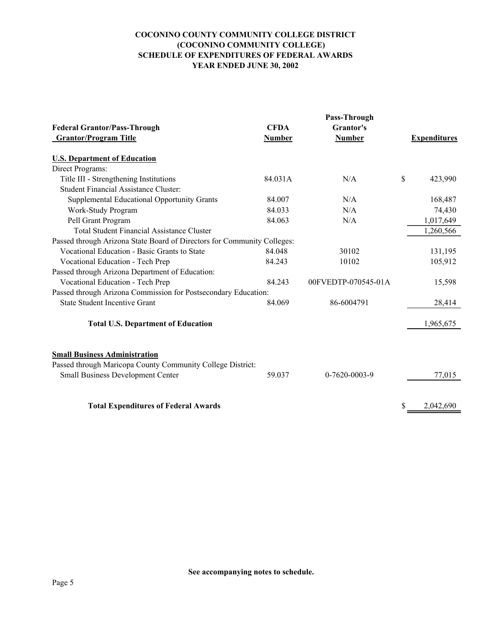#### **COCONINO COUNTY COMMUNITY COLLEGE DISTRICT (COCONINO COMMUNITY COLLEGE) SCHEDULE OF EXPENDITURES OF FEDERAL AWARDS YEAR ENDED JUNE 30, 2002**

|                                                                                        | Pass-Through  |                     |    |                     |
|----------------------------------------------------------------------------------------|---------------|---------------------|----|---------------------|
| <b>Federal Grantor/Pass-Through</b>                                                    | <b>CFDA</b>   | Grantor's           |    |                     |
| <b>Grantor/Program Title</b>                                                           | <b>Number</b> | <b>Number</b>       |    | <b>Expenditures</b> |
| <b>U.S. Department of Education</b>                                                    |               |                     |    |                     |
| Direct Programs:                                                                       |               |                     |    |                     |
|                                                                                        | 84.031A       | N/A                 | \$ | 423,990             |
| Title III - Strengthening Institutions<br><b>Student Financial Assistance Cluster:</b> |               |                     |    |                     |
|                                                                                        |               |                     |    |                     |
| Supplemental Educational Opportunity Grants                                            | 84.007        | N/A                 |    | 168,487             |
| Work-Study Program                                                                     | 84.033        | N/A                 |    | 74,430              |
| Pell Grant Program                                                                     | 84.063        | N/A                 |    | 1,017,649           |
| <b>Total Student Financial Assistance Cluster</b>                                      |               |                     |    | 1,260,566           |
| Passed through Arizona State Board of Directors for Community Colleges:                |               |                     |    |                     |
| Vocational Education - Basic Grants to State                                           | 84.048        | 30102               |    | 131,195             |
| Vocational Education - Tech Prep                                                       | 84.243        | 10102               |    | 105,912             |
| Passed through Arizona Department of Education:                                        |               |                     |    |                     |
| Vocational Education - Tech Prep                                                       | 84.243        | 00FVEDTP-070545-01A |    | 15,598              |
| Passed through Arizona Commission for Postsecondary Education:                         |               |                     |    |                     |
| <b>State Student Incentive Grant</b>                                                   | 84.069        | 86-6004791          |    | 28,414              |
|                                                                                        |               |                     |    |                     |
| <b>Total U.S. Department of Education</b>                                              |               |                     |    | 1,965,675           |
|                                                                                        |               |                     |    |                     |
| <b>Small Business Administration</b>                                                   |               |                     |    |                     |
| Passed through Maricopa County Community College District:                             |               |                     |    |                     |
| <b>Small Business Development Center</b>                                               | 59.037        | 0-7620-0003-9       |    | 77,015              |
|                                                                                        |               |                     |    |                     |
| <b>Total Expenditures of Federal Awards</b>                                            |               |                     | \$ | 2,042,690           |
|                                                                                        |               |                     |    |                     |

**See accompanying notes to schedule.**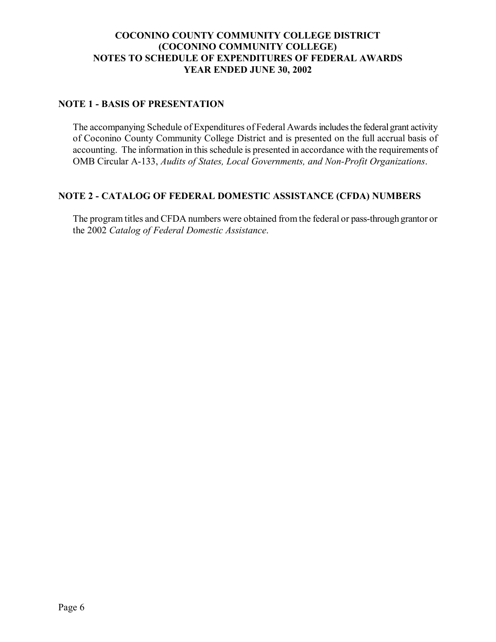# **COCONINO COUNTY COMMUNITY COLLEGE DISTRICT (COCONINO COMMUNITY COLLEGE) NOTES TO SCHEDULE OF EXPENDITURES OF FEDERAL AWARDS YEAR ENDED JUNE 30, 2002**

## **NOTE 1 - BASIS OF PRESENTATION**

The accompanying Schedule of Expenditures of Federal Awards includes the federal grant activity of Coconino County Community College District and is presented on the full accrual basis of accounting. The information in this schedule is presented in accordance with the requirements of OMB Circular A-133, *Audits of States, Local Governments, and Non-Profit Organizations*.

## **NOTE 2 - CATALOG OF FEDERAL DOMESTIC ASSISTANCE (CFDA) NUMBERS**

The program titles and CFDA numbers were obtained from the federal or pass-through grantor or the 2002 *Catalog of Federal Domestic Assistance*.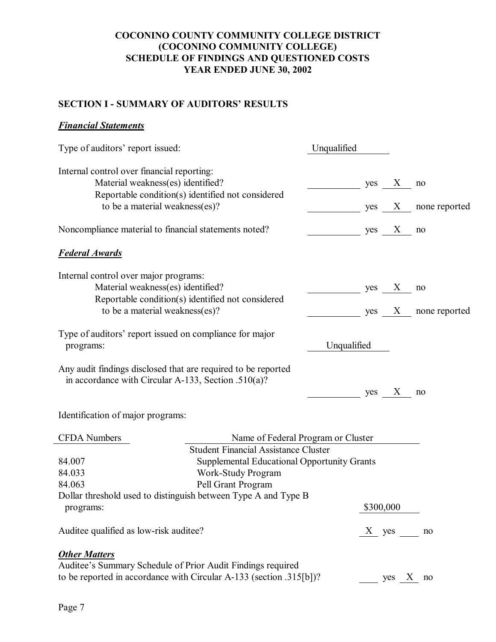## **COCONINO COUNTY COMMUNITY COLLEGE DISTRICT (COCONINO COMMUNITY COLLEGE) SCHEDULE OF FINDINGS AND QUESTIONED COSTS YEAR ENDED JUNE 30, 2002**

# **SECTION I - SUMMARY OF AUDITORS' RESULTS**

## *Financial Statements*

| Type of auditors' report issued:                                                                                                                           |                                                                                                                                                                                     | Unqualified |     |            |                 |
|------------------------------------------------------------------------------------------------------------------------------------------------------------|-------------------------------------------------------------------------------------------------------------------------------------------------------------------------------------|-------------|-----|------------|-----------------|
| Internal control over financial reporting:<br>Material weakness(es) identified?<br>Reportable condition(s) identified not considered                       |                                                                                                                                                                                     |             | yes | X          | no              |
| to be a material weakness(es)?                                                                                                                             |                                                                                                                                                                                     |             | yes |            | X none reported |
| Noncompliance material to financial statements noted?                                                                                                      |                                                                                                                                                                                     |             | yes | X          | no              |
| <b>Federal Awards</b>                                                                                                                                      |                                                                                                                                                                                     |             |     |            |                 |
| Internal control over major programs:<br>Material weakness(es) identified?<br>Reportable condition(s) identified not considered                            |                                                                                                                                                                                     |             | yes | X          | no              |
| to be a material weakness(es)?                                                                                                                             |                                                                                                                                                                                     |             | yes | X          | none reported   |
| Type of auditors' report issued on compliance for major<br>programs:                                                                                       |                                                                                                                                                                                     | Unqualified |     |            |                 |
| Any audit findings disclosed that are required to be reported<br>in accordance with Circular A-133, Section .510(a)?                                       |                                                                                                                                                                                     |             | yes | $\bf{X}$   | no              |
| Identification of major programs:                                                                                                                          |                                                                                                                                                                                     |             |     |            |                 |
| <b>CFDA</b> Numbers<br>84.007<br>84.033<br>84.063                                                                                                          | Name of Federal Program or Cluster<br><b>Student Financial Assistance Cluster</b><br><b>Supplemental Educational Opportunity Grants</b><br>Work-Study Program<br>Pell Grant Program |             |     |            |                 |
| Dollar threshold used to distinguish between Type A and Type B<br>programs:                                                                                |                                                                                                                                                                                     |             |     | \$300,000  |                 |
| Auditee qualified as low-risk auditee?                                                                                                                     |                                                                                                                                                                                     |             |     | $X$ yes no |                 |
| <b>Other Matters</b><br>Auditee's Summary Schedule of Prior Audit Findings required<br>to be reported in accordance with Circular A-133 (section .315[b])? |                                                                                                                                                                                     |             |     | yes X no   |                 |